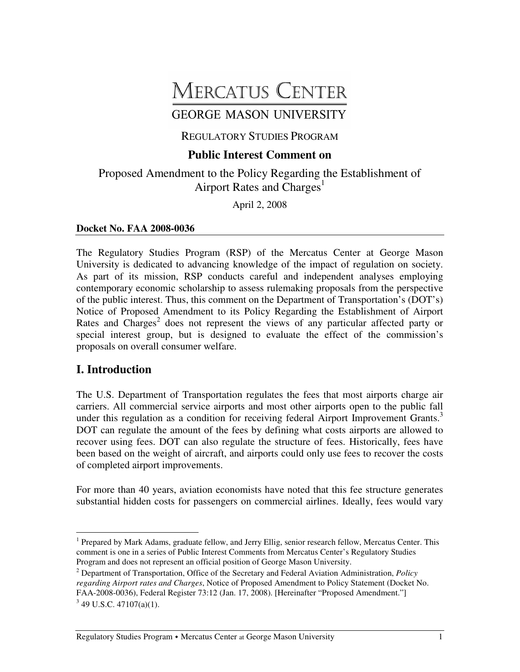# **MERCATUS CENTER**

# **GEORGE MASON UNIVERSITY**

#### REGULATORY STUDIES PROGRAM

## **Public Interest Comment on**

Proposed Amendment to the Policy Regarding the Establishment of Airport Rates and Charges<sup>1</sup>

April 2, 2008

#### **Docket No. FAA 2008-0036**

The Regulatory Studies Program (RSP) of the Mercatus Center at George Mason University is dedicated to advancing knowledge of the impact of regulation on society. As part of its mission, RSP conducts careful and independent analyses employing contemporary economic scholarship to assess rulemaking proposals from the perspective of the public interest. Thus, this comment on the Department of Transportation's (DOT's) Notice of Proposed Amendment to its Policy Regarding the Establishment of Airport Rates and Charges<sup>2</sup> does not represent the views of any particular affected party or special interest group, but is designed to evaluate the effect of the commission's proposals on overall consumer welfare.

## **I. Introduction**

The U.S. Department of Transportation regulates the fees that most airports charge air carriers. All commercial service airports and most other airports open to the public fall under this regulation as a condition for receiving federal Airport Improvement Grants.<sup>3</sup> DOT can regulate the amount of the fees by defining what costs airports are allowed to recover using fees. DOT can also regulate the structure of fees. Historically, fees have been based on the weight of aircraft, and airports could only use fees to recover the costs of completed airport improvements.

For more than 40 years, aviation economists have noted that this fee structure generates substantial hidden costs for passengers on commercial airlines. Ideally, fees would vary

Regulatory Studies Program • Mercatus Center at George Mason University 1

<sup>&</sup>lt;sup>1</sup> Prepared by Mark Adams, graduate fellow, and Jerry Ellig, senior research fellow, Mercatus Center. This comment is one in a series of Public Interest Comments from Mercatus Center's Regulatory Studies Program and does not represent an official position of George Mason University.

<sup>2</sup> Department of Transportation, Office of the Secretary and Federal Aviation Administration, *Policy regarding Airport rates and Charges*, Notice of Proposed Amendment to Policy Statement (Docket No. FAA-2008-0036), Federal Register 73:12 (Jan. 17, 2008). [Hereinafter "Proposed Amendment."]  $3$  49 U.S.C. 47107(a)(1).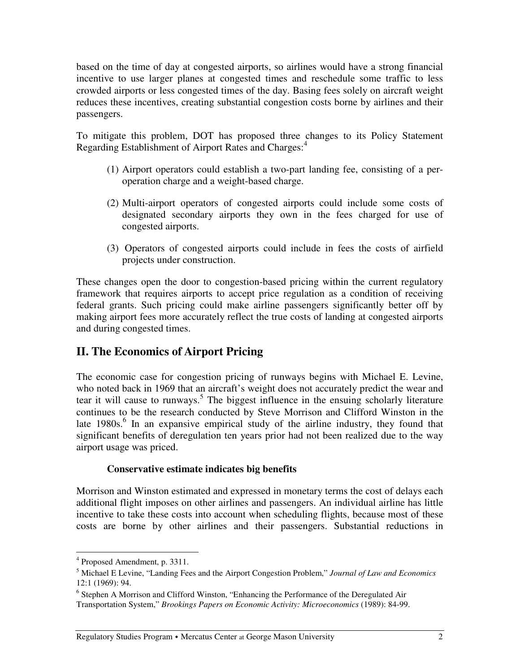based on the time of day at congested airports, so airlines would have a strong financial incentive to use larger planes at congested times and reschedule some traffic to less crowded airports or less congested times of the day. Basing fees solely on aircraft weight reduces these incentives, creating substantial congestion costs borne by airlines and their passengers.

To mitigate this problem, DOT has proposed three changes to its Policy Statement Regarding Establishment of Airport Rates and Charges: 4

- (1) Airport operators could establish a two-part landing fee, consisting of a peroperation charge and a weight-based charge.
- (2) Multi-airport operators of congested airports could include some costs of designated secondary airports they own in the fees charged for use of congested airports.
- (3) Operators of congested airports could include in fees the costs of airfield projects under construction.

These changes open the door to congestion-based pricing within the current regulatory framework that requires airports to accept price regulation as a condition of receiving federal grants. Such pricing could make airline passengers significantly better off by making airport fees more accurately reflect the true costs of landing at congested airports and during congested times.

## **II. The Economics of Airport Pricing**

The economic case for congestion pricing of runways begins with Michael E. Levine, who noted back in 1969 that an aircraft's weight does not accurately predict the wear and tear it will cause to runways. 5 The biggest influence in the ensuing scholarly literature continues to be the research conducted by Steve Morrison and Clifford Winston in the late 1980s.<sup>6</sup> In an expansive empirical study of the airline industry, they found that significant benefits of deregulation ten years prior had not been realized due to the way airport usage was priced.

#### **Conservative estimate indicates big benefits**

Morrison and Winston estimated and expressed in monetary terms the cost of delays each additional flight imposes on other airlines and passengers. An individual airline has little incentive to take these costs into account when scheduling flights, because most of these costs are borne by other airlines and their passengers. Substantial reductions in

<sup>4</sup> Proposed Amendment, p. 3311.

<sup>5</sup> Michael E Levine, "Landing Fees and the Airport Congestion Problem," *Journal of Law and Economics* 12:1 (1969): 94.

<sup>&</sup>lt;sup>6</sup> Stephen A Morrison and Clifford Winston, "Enhancing the Performance of the Deregulated Air Transportation System," *Brookings Papers on Economic Activity: Microeconomics* (1989): 84-99.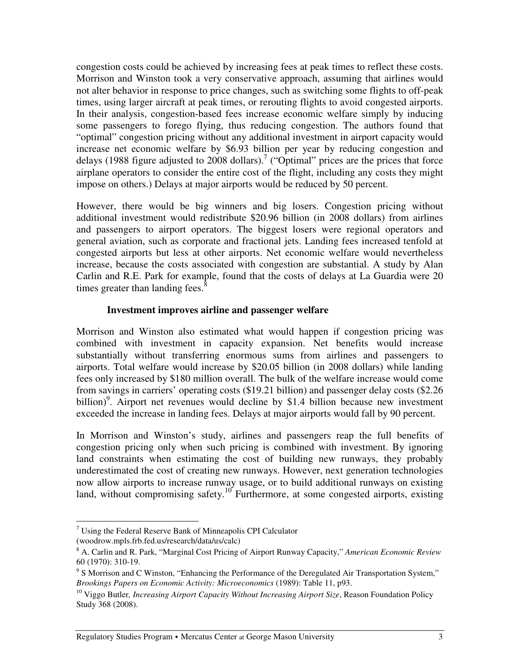congestion costs could be achieved by increasing fees at peak times to reflect these costs. Morrison and Winston took a very conservative approach, assuming that airlines would not alter behavior in response to price changes, such as switching some flights to off-peak times, using larger aircraft at peak times, or rerouting flights to avoid congested airports. In their analysis, congestion-based fees increase economic welfare simply by inducing some passengers to forego flying, thus reducing congestion. The authors found that "optimal" congestion pricing without any additional investment in airport capacity would increase net economic welfare by \$6.93 billion per year by reducing congestion and delays (1988 figure adjusted to 2008 dollars).<sup>7</sup> ("Optimal" prices are the prices that force airplane operators to consider the entire cost of the flight, including any costs they might impose on others.) Delays at major airports would be reduced by 50 percent.

However, there would be big winners and big losers. Congestion pricing without additional investment would redistribute \$20.96 billion (in 2008 dollars) from airlines and passengers to airport operators. The biggest losers were regional operators and general aviation, such as corporate and fractional jets. Landing fees increased tenfold at congested airports but less at other airports. Net economic welfare would nevertheless increase, because the costs associated with congestion are substantial. A study by Alan Carlin and R.E. Park for example, found that the costs of delays at La Guardia were 20 times greater than landing fees.<sup>8</sup>

#### **Investment improves airline and passenger welfare**

Morrison and Winston also estimated what would happen if congestion pricing was combined with investment in capacity expansion. Net benefits would increase substantially without transferring enormous sums from airlines and passengers to airports. Total welfare would increase by \$20.05 billion (in 2008 dollars) while landing fees only increased by \$180 million overall. The bulk of the welfare increase would come from savings in carriers' operating costs (\$19.21 billion) and passenger delay costs (\$2.26 billion)<sup>9</sup>. Airport net revenues would decline by \$1.4 billion because new investment exceeded the increase in landing fees. Delays at major airports would fall by 90 percent.

In Morrison and Winston's study, airlines and passengers reap the full benefits of congestion pricing only when such pricing is combined with investment. By ignoring land constraints when estimating the cost of building new runways, they probably underestimated the cost of creating new runways. However, next generation technologies now allow airports to increase runway usage, or to build additional runways on existing land, without compromising safety.<sup>10</sup> Furthermore, at some congested airports, existing

 $7$  Using the Federal Reserve Bank of Minneapolis CPI Calculator (woodrow.mpls.frb.fed.us/research/data/us/calc)

<sup>8</sup> A. Carlin and R. Park, "Marginal Cost Pricing of Airport Runway Capacity," *American Economic Review* 60 (1970): 310-19.

<sup>&</sup>lt;sup>9</sup> S Morrison and C Winston, "Enhancing the Performance of the Deregulated Air Transportation System," *Brookings Papers on Economic Activity: Microeconomics* (1989): Table 11, p93.

<sup>10</sup> Viggo Butler*, Increasing Airport Capacity Without Increasing Airport Size*, Reason Foundation Policy Study 368 (2008).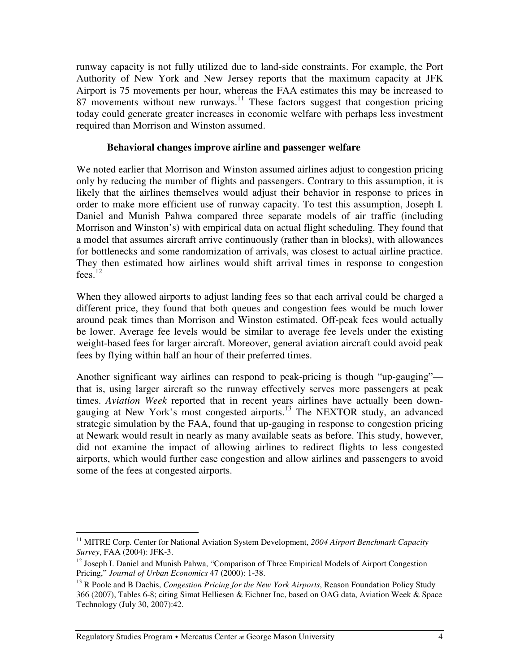runway capacity is not fully utilized due to land-side constraints. For example, the Port Authority of New York and New Jersey reports that the maximum capacity at JFK Airport is 75 movements per hour, whereas the FAA estimates this may be increased to 87 movements without new runways. $11$  These factors suggest that congestion pricing today could generate greater increases in economic welfare with perhaps less investment required than Morrison and Winston assumed.

#### **Behavioral changes improve airline and passenger welfare**

We noted earlier that Morrison and Winston assumed airlines adjust to congestion pricing only by reducing the number of flights and passengers. Contrary to this assumption, it is likely that the airlines themselves would adjust their behavior in response to prices in order to make more efficient use of runway capacity. To test this assumption, Joseph I. Daniel and Munish Pahwa compared three separate models of air traffic (including Morrison and Winston's) with empirical data on actual flight scheduling. They found that a model that assumes aircraft arrive continuously (rather than in blocks), with allowances for bottlenecks and some randomization of arrivals, was closest to actual airline practice. They then estimated how airlines would shift arrival times in response to congestion fees. 12

When they allowed airports to adjust landing fees so that each arrival could be charged a different price, they found that both queues and congestion fees would be much lower around peak times than Morrison and Winston estimated. Off-peak fees would actually be lower. Average fee levels would be similar to average fee levels under the existing weight-based fees for larger aircraft. Moreover, general aviation aircraft could avoid peak fees by flying within half an hour of their preferred times.

Another significant way airlines can respond to peak-pricing is though "up-gauging" that is, using larger aircraft so the runway effectively serves more passengers at peak times. *Aviation Week* reported that in recent years airlines have actually been downgauging at New York's most congested airports.<sup>13</sup> The NEXTOR study, an advanced strategic simulation by the FAA, found that up-gauging in response to congestion pricing at Newark would result in nearly as many available seats as before. This study, however, did not examine the impact of allowing airlines to redirect flights to less congested airports, which would further ease congestion and allow airlines and passengers to avoid some of the fees at congested airports.

<sup>11</sup> MITRE Corp. Center for National Aviation System Development, *2004 Airport Benchmark Capacity Survey*, FAA (2004): JFK-3.

<sup>&</sup>lt;sup>12</sup> Joseph I. Daniel and Munish Pahwa, "Comparison of Three Empirical Models of Airport Congestion Pricing," *Journal of Urban Economics* 47 (2000): 1-38.

<sup>13</sup> R Poole and B Dachis, *Congestion Pricing for the New York Airports*, Reason Foundation Policy Study 366 (2007), Tables 6-8; citing Simat Helliesen & Eichner Inc, based on OAG data, Aviation Week & Space Technology (July 30, 2007):42.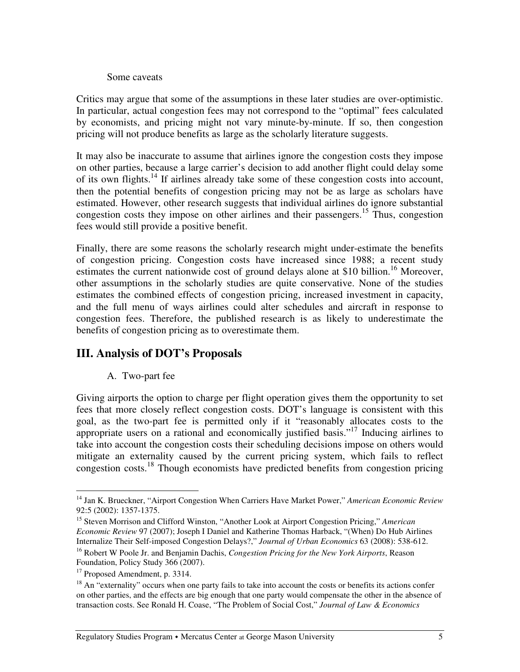#### Some caveats

Critics may argue that some of the assumptions in these later studies are over-optimistic. In particular, actual congestion fees may not correspond to the "optimal" fees calculated by economists, and pricing might not vary minute-by-minute. If so, then congestion pricing will not produce benefits as large as the scholarly literature suggests.

It may also be inaccurate to assume that airlines ignore the congestion costs they impose on other parties, because a large carrier's decision to add another flight could delay some of its own flights.<sup>14</sup> If airlines already take some of these congestion costs into account, then the potential benefits of congestion pricing may not be as large as scholars have estimated. However, other research suggests that individual airlines do ignore substantial congestion costs they impose on other airlines and their passengers. 15 Thus, congestion fees would still provide a positive benefit.

Finally, there are some reasons the scholarly research might under-estimate the benefits of congestion pricing. Congestion costs have increased since 1988; a recent study estimates the current nationwide cost of ground delays alone at \$10 billion.<sup>16</sup> Moreover, other assumptions in the scholarly studies are quite conservative. None of the studies estimates the combined effects of congestion pricing, increased investment in capacity, and the full menu of ways airlines could alter schedules and aircraft in response to congestion fees. Therefore, the published research is as likely to underestimate the benefits of congestion pricing as to overestimate them.

### **III. Analysis of DOT's Proposals**

#### A. Two-part fee

Giving airports the option to charge per flight operation gives them the opportunity to set fees that more closely reflect congestion costs. DOT's language is consistent with this goal, as the two-part fee is permitted only if it "reasonably allocates costs to the appropriate users on a rational and economically justified basis."<sup>17</sup> Inducing airlines to take into account the congestion costs their scheduling decisions impose on others would mitigate an externality caused by the current pricing system, which fails to reflect congestion costs. 18 Though economists have predicted benefits from congestion pricing

<sup>14</sup> Jan K. Brueckner, "Airport Congestion When Carriers Have Market Power," *American Economic Review* 92:5 (2002): 1357-1375.

<sup>&</sup>lt;sup>15</sup> Steven Morrison and Clifford Winston, "Another Look at Airport Congestion Pricing," American *Economic Review* 97 (2007); Joseph I Daniel and Katherine Thomas Harback, "(When) Do Hub Airlines Internalize Their Self-imposed Congestion Delays?," *Journal of Urban Economics* 63 (2008): 538-612.

<sup>16</sup> Robert W Poole Jr. and Benjamin Dachis, *Congestion Pricing for the New York Airports*, Reason Foundation, Policy Study 366 (2007).

<sup>&</sup>lt;sup>17</sup> Proposed Amendment, p. 3314.

<sup>&</sup>lt;sup>18</sup> An "externality" occurs when one party fails to take into account the costs or benefits its actions confer on other parties, and the effects are big enough that one party would compensate the other in the absence of transaction costs. See Ronald H. Coase, "The Problem of Social Cost," *Journal of Law & Economics*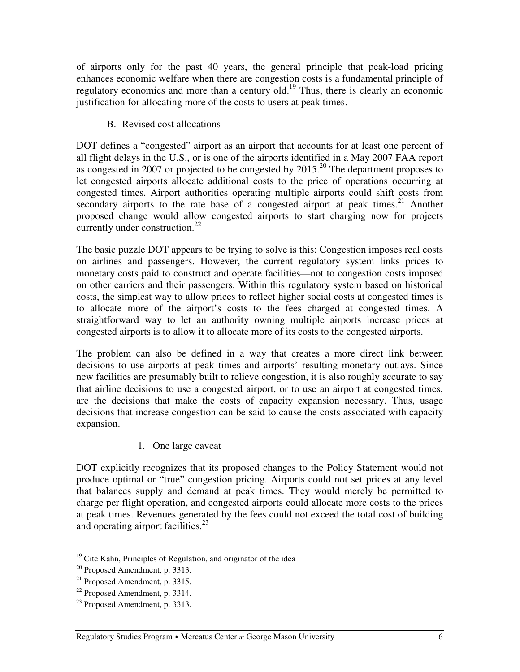of airports only for the past 40 years, the general principle that peak-load pricing enhances economic welfare when there are congestion costs is a fundamental principle of regulatory economics and more than a century old.<sup>19</sup> Thus, there is clearly an economic justification for allocating more of the costs to users at peak times.

B. Revised cost allocations

DOT defines a "congested" airport as an airport that accounts for at least one percent of all flight delays in the U.S., or is one of the airports identified in a May 2007 FAA report as congested in 2007 or projected to be congested by  $2015.<sup>20</sup>$  The department proposes to let congested airports allocate additional costs to the price of operations occurring at congested times. Airport authorities operating multiple airports could shift costs from secondary airports to the rate base of a congested airport at peak times.<sup>21</sup> Another proposed change would allow congested airports to start charging now for projects currently under construction.<sup>22</sup>

The basic puzzle DOT appears to be trying to solve is this: Congestion imposes real costs on airlines and passengers. However, the current regulatory system links prices to monetary costs paid to construct and operate facilities—not to congestion costs imposed on other carriers and their passengers. Within this regulatory system based on historical costs, the simplest way to allow prices to reflect higher social costs at congested times is to allocate more of the airport's costs to the fees charged at congested times. A straightforward way to let an authority owning multiple airports increase prices at congested airports is to allow it to allocate more of its costs to the congested airports.

The problem can also be defined in a way that creates a more direct link between decisions to use airports at peak times and airports' resulting monetary outlays. Since new facilities are presumably built to relieve congestion, it is also roughly accurate to say that airline decisions to use a congested airport, or to use an airport at congested times, are the decisions that make the costs of capacity expansion necessary. Thus, usage decisions that increase congestion can be said to cause the costs associated with capacity expansion.

1. One large caveat

DOT explicitly recognizes that its proposed changes to the Policy Statement would not produce optimal or "true" congestion pricing. Airports could not set prices at any level that balances supply and demand at peak times. They would merely be permitted to charge per flight operation, and congested airports could allocate more costs to the prices at peak times. Revenues generated by the fees could not exceed the total cost of building and operating airport facilities.<sup>23</sup>

 $19$  Cite Kahn, Principles of Regulation, and originator of the idea

 $20$  Proposed Amendment, p. 3313.

 $21$  Proposed Amendment, p. 3315.

 $22$  Proposed Amendment, p. 3314.

<sup>&</sup>lt;sup>23</sup> Proposed Amendment, p. 3313.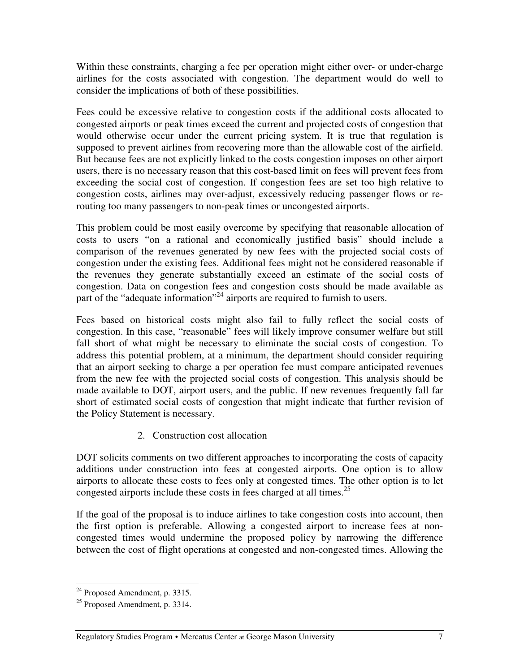Within these constraints, charging a fee per operation might either over- or under-charge airlines for the costs associated with congestion. The department would do well to consider the implications of both of these possibilities.

Fees could be excessive relative to congestion costs if the additional costs allocated to congested airports or peak times exceed the current and projected costs of congestion that would otherwise occur under the current pricing system. It is true that regulation is supposed to prevent airlines from recovering more than the allowable cost of the airfield. But because fees are not explicitly linked to the costs congestion imposes on other airport users, there is no necessary reason that this cost-based limit on fees will prevent fees from exceeding the social cost of congestion. If congestion fees are set too high relative to congestion costs, airlines may over-adjust, excessively reducing passenger flows or rerouting too many passengers to non-peak times or uncongested airports.

This problem could be most easily overcome by specifying that reasonable allocation of costs to users "on a rational and economically justified basis" should include a comparison of the revenues generated by new fees with the projected social costs of congestion under the existing fees. Additional fees might not be considered reasonable if the revenues they generate substantially exceed an estimate of the social costs of congestion. Data on congestion fees and congestion costs should be made available as part of the "adequate information"<sup>24</sup> airports are required to furnish to users.

Fees based on historical costs might also fail to fully reflect the social costs of congestion. In this case, "reasonable" fees will likely improve consumer welfare but still fall short of what might be necessary to eliminate the social costs of congestion. To address this potential problem, at a minimum, the department should consider requiring that an airport seeking to charge a per operation fee must compare anticipated revenues from the new fee with the projected social costs of congestion. This analysis should be made available to DOT, airport users, and the public. If new revenues frequently fall far short of estimated social costs of congestion that might indicate that further revision of the Policy Statement is necessary.

2. Construction cost allocation

DOT solicits comments on two different approaches to incorporating the costs of capacity additions under construction into fees at congested airports. One option is to allow airports to allocate these costs to fees only at congested times. The other option is to let congested airports include these costs in fees charged at all times. 25

If the goal of the proposal is to induce airlines to take congestion costs into account, then the first option is preferable. Allowing a congested airport to increase fees at noncongested times would undermine the proposed policy by narrowing the difference between the cost of flight operations at congested and non-congested times. Allowing the

<sup>&</sup>lt;sup>24</sup> Proposed Amendment, p. 3315.

<sup>&</sup>lt;sup>25</sup> Proposed Amendment, p. 3314.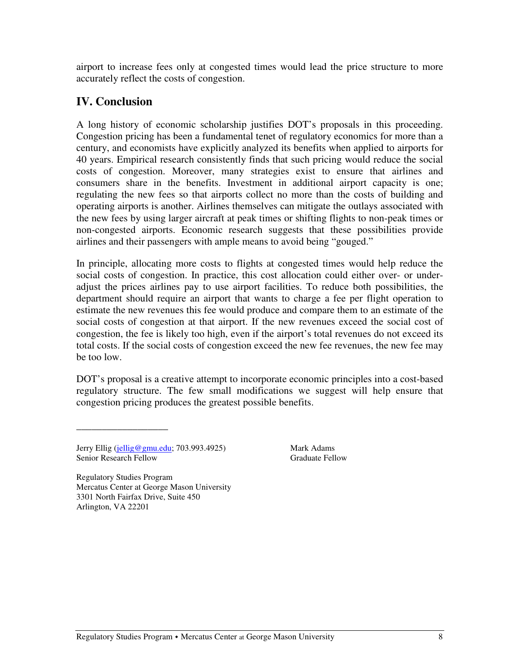airport to increase fees only at congested times would lead the price structure to more accurately reflect the costs of congestion.

# **IV. Conclusion**

A long history of economic scholarship justifies DOT's proposals in this proceeding. Congestion pricing has been a fundamental tenet of regulatory economics for more than a century, and economists have explicitly analyzed its benefits when applied to airports for 40 years. Empirical research consistently finds that such pricing would reduce the social costs of congestion. Moreover, many strategies exist to ensure that airlines and consumers share in the benefits. Investment in additional airport capacity is one; regulating the new fees so that airports collect no more than the costs of building and operating airports is another. Airlines themselves can mitigate the outlays associated with the new fees by using larger aircraft at peak times or shifting flights to non-peak times or non-congested airports. Economic research suggests that these possibilities provide airlines and their passengers with ample means to avoid being "gouged."

In principle, allocating more costs to flights at congested times would help reduce the social costs of congestion. In practice, this cost allocation could either over- or underadjust the prices airlines pay to use airport facilities. To reduce both possibilities, the department should require an airport that wants to charge a fee per flight operation to estimate the new revenues this fee would produce and compare them to an estimate of the social costs of congestion at that airport. If the new revenues exceed the social cost of congestion, the fee is likely too high, even if the airport's total revenues do not exceed its total costs. If the social costs of congestion exceed the new fee revenues, the new fee may be too low.

DOT's proposal is a creative attempt to incorporate economic principles into a cost-based regulatory structure. The few small modifications we suggest will help ensure that congestion pricing produces the greatest possible benefits.

Jerry Ellig (jellig@gmu.edu; 703.993.4925) Mark Adams Senior Research Fellow Graduate Fellow

\_\_\_\_\_\_\_\_\_\_\_\_\_\_\_\_\_\_

Regulatory Studies Program Mercatus Center at George Mason University 3301 North Fairfax Drive, Suite 450 Arlington, VA 22201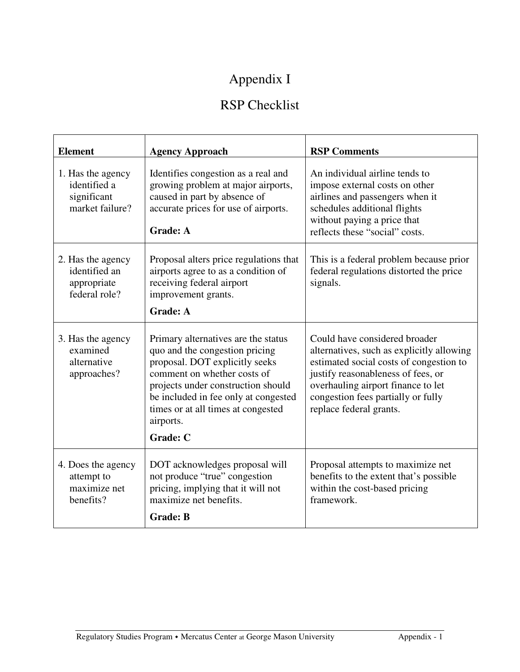# Appendix I

# RSP Checklist

| <b>Element</b>                                                      | <b>Agency Approach</b>                                                                                                                                                                                                                                                                     | <b>RSP Comments</b>                                                                                                                                                                                                                                                |
|---------------------------------------------------------------------|--------------------------------------------------------------------------------------------------------------------------------------------------------------------------------------------------------------------------------------------------------------------------------------------|--------------------------------------------------------------------------------------------------------------------------------------------------------------------------------------------------------------------------------------------------------------------|
| 1. Has the agency<br>identified a<br>significant<br>market failure? | Identifies congestion as a real and<br>growing problem at major airports,<br>caused in part by absence of<br>accurate prices for use of airports.<br><b>Grade: A</b>                                                                                                                       | An individual airline tends to<br>impose external costs on other<br>airlines and passengers when it<br>schedules additional flights<br>without paying a price that<br>reflects these "social" costs.                                                               |
| 2. Has the agency<br>identified an<br>appropriate<br>federal role?  | Proposal alters price regulations that<br>airports agree to as a condition of<br>receiving federal airport<br>improvement grants.<br><b>Grade: A</b>                                                                                                                                       | This is a federal problem because prior<br>federal regulations distorted the price<br>signals.                                                                                                                                                                     |
| 3. Has the agency<br>examined<br>alternative<br>approaches?         | Primary alternatives are the status<br>quo and the congestion pricing<br>proposal. DOT explicitly seeks<br>comment on whether costs of<br>projects under construction should<br>be included in fee only at congested<br>times or at all times at congested<br>airports.<br><b>Grade: C</b> | Could have considered broader<br>alternatives, such as explicitly allowing<br>estimated social costs of congestion to<br>justify reasonableness of fees, or<br>overhauling airport finance to let<br>congestion fees partially or fully<br>replace federal grants. |
| 4. Does the agency<br>attempt to<br>maximize net<br>benefits?       | DOT acknowledges proposal will<br>not produce "true" congestion<br>pricing, implying that it will not<br>maximize net benefits.<br><b>Grade: B</b>                                                                                                                                         | Proposal attempts to maximize net<br>benefits to the extent that's possible<br>within the cost-based pricing<br>framework.                                                                                                                                         |